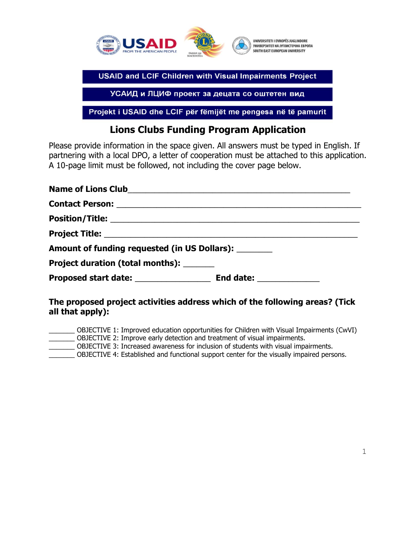

УСАИД и ЛЦИФ проект за децата со оштетен вид

Projekt i USAID dhe LCIF për fëmijët me pengesa në të pamurit

## **Lions Clubs Funding Program Application**

Please provide information in the space given. All answers must be typed in English. If partnering with a local DPO, a letter of cooperation must be attached to this application. A 10-page limit must be followed, not including the cover page below.

| Name of Lions Club<br>Name of Lions Club             |  |  |  |  |  |
|------------------------------------------------------|--|--|--|--|--|
|                                                      |  |  |  |  |  |
|                                                      |  |  |  |  |  |
|                                                      |  |  |  |  |  |
| Amount of funding requested (in US Dollars): _______ |  |  |  |  |  |
| Project duration (total months):                     |  |  |  |  |  |
|                                                      |  |  |  |  |  |

## **The proposed project activities address which of the following areas? (Tick all that apply):**

\_\_\_\_\_\_\_ OBJECTIVE 1: Improved education opportunities for Children with Visual Impairments (CwVI) \_\_\_\_\_\_\_ OBJECTIVE 2: Improve early detection and treatment of visual impairments. \_\_\_\_\_\_\_ OBJECTIVE 3: Increased awareness for inclusion of students with visual impairments. \_\_\_\_\_\_\_ OBJECTIVE 4: Established and functional support center for the visually impaired persons.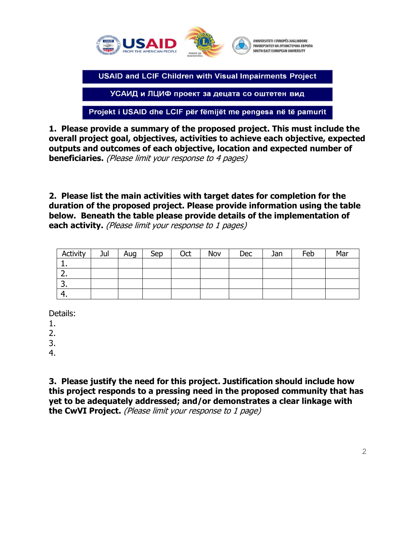

УСАИД и ЛЦИФ проект за децата со оштетен вид

Projekt i USAID dhe LCIF për fëmijët me pengesa në të pamurit

**1. Please provide a summary of the proposed project. This must include the overall project goal, objectives, activities to achieve each objective, expected outputs and outcomes of each objective, location and expected number of beneficiaries.** (Please limit your response to 4 pages)

**2. Please list the main activities with target dates for completion for the duration of the proposed project. Please provide information using the table below. Beneath the table please provide details of the implementation of each activity.** (Please limit your response to 1 pages)

| Activity    | Jul | Aug | Sep | Oct | Nov | <b>Dec</b> | Jan | Feb | Mar |
|-------------|-----|-----|-----|-----|-----|------------|-----|-----|-----|
| . .         |     |     |     |     |     |            |     |     |     |
| <u>. . </u> |     |     |     |     |     |            |     |     |     |
| J.          |     |     |     |     |     |            |     |     |     |
| т.          |     |     |     |     |     |            |     |     |     |

Details:

1.

2.

3.

4.

**3. Please justify the need for this project. Justification should include how this project responds to a pressing need in the proposed community that has yet to be adequately addressed; and/or demonstrates a clear linkage with the CwVI Project.** (Please limit your response to 1 page)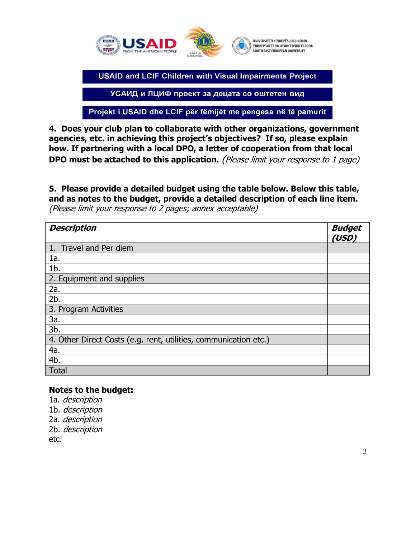

УСАИД и ЛЦИФ проект за децата со оштетен вид

Projekt i USAID dhe LCIF për fëmijët me pengesa në të pamurit

**4. Does your club plan to collaborate with other organizations, government agencies, etc. in achieving this project's objectives? If so, please explain how. If partnering with a local DPO, a letter of cooperation from that local DPO must be attached to this application.** (Please limit your response to 1 page)

## **5. Please provide a detailed budget using the table below. Below this table, and as notes to the budget, provide a detailed description of each line item.**

(Please limit your response to 2 pages; annex acceptable)

| <b>Description</b>                                               | <b>Budget</b><br>(USD) |
|------------------------------------------------------------------|------------------------|
| 1. Travel and Per diem                                           |                        |
| 1a.                                                              |                        |
| $1b$ .                                                           |                        |
| 2. Equipment and supplies                                        |                        |
| 2a.                                                              |                        |
| 2b.                                                              |                        |
| 3. Program Activities                                            |                        |
| 3a.                                                              |                        |
| 3b.                                                              |                        |
| 4. Other Direct Costs (e.g. rent, utilities, communication etc.) |                        |
| 4a.                                                              |                        |
| 4b.                                                              |                        |
| <b>Total</b>                                                     |                        |

## **Notes to the budget:**

1a. description 1b. description 2a. description 2b. description etc.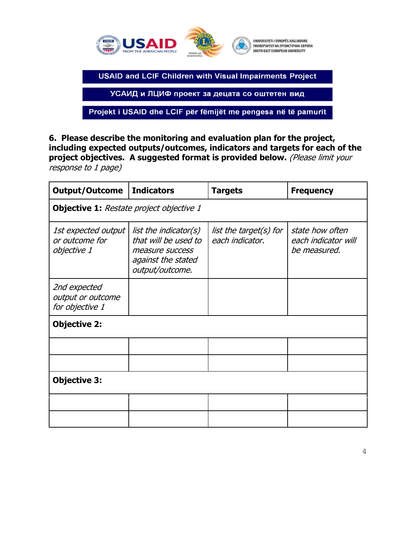

УСАИД и ЛЦИФ проект за децата со оштетен вид

Projekt i USAID dhe LCIF për fëmijët me pengesa në të pamurit

**6. Please describe the monitoring and evaluation plan for the project, including expected outputs/outcomes, indicators and targets for each of the project objectives. A suggested format is provided below.** (Please limit your response to 1 page)

| <b>Output/Outcome</b>                                | <b>Indicators</b>                                                                                         | <b>Targets</b>                            | <b>Frequency</b>                                       |  |  |  |  |  |  |
|------------------------------------------------------|-----------------------------------------------------------------------------------------------------------|-------------------------------------------|--------------------------------------------------------|--|--|--|--|--|--|
| <b>Objective 1:</b> Restate project objective 1      |                                                                                                           |                                           |                                                        |  |  |  |  |  |  |
| 1st expected output<br>or outcome for<br>objective 1 | list the indicator(s)<br>that will be used to<br>measure success<br>against the stated<br>output/outcome. | list the target(s) for<br>each indicator. | state how often<br>each indicator will<br>be measured. |  |  |  |  |  |  |
| 2nd expected<br>output or outcome<br>for objective 1 |                                                                                                           |                                           |                                                        |  |  |  |  |  |  |
| <b>Objective 2:</b>                                  |                                                                                                           |                                           |                                                        |  |  |  |  |  |  |
|                                                      |                                                                                                           |                                           |                                                        |  |  |  |  |  |  |
|                                                      |                                                                                                           |                                           |                                                        |  |  |  |  |  |  |
| <b>Objective 3:</b>                                  |                                                                                                           |                                           |                                                        |  |  |  |  |  |  |
|                                                      |                                                                                                           |                                           |                                                        |  |  |  |  |  |  |
|                                                      |                                                                                                           |                                           |                                                        |  |  |  |  |  |  |